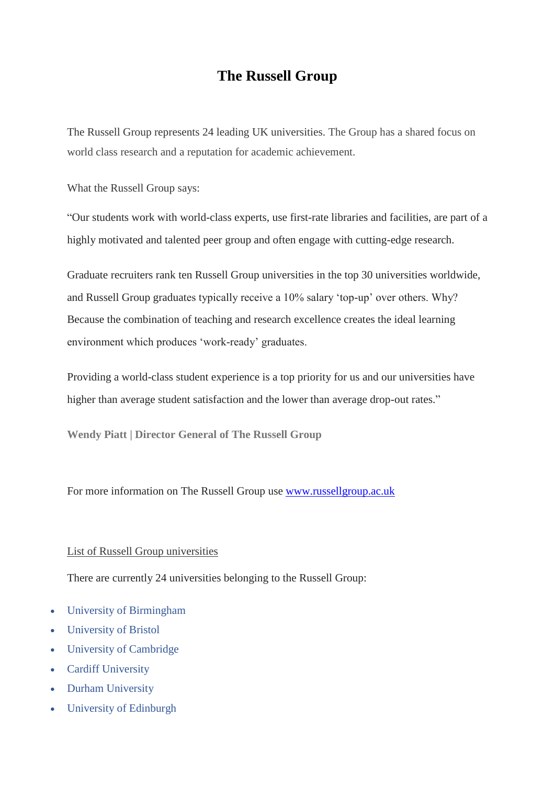## **The Russell Group**

The Russell Group represents 24 leading UK universities. The Group has a shared focus on world class research and a reputation for academic achievement.

What the Russell Group says:

"Our students work with world-class experts, use first-rate libraries and facilities, are part of a highly motivated and talented peer group and often engage with cutting-edge research.

Graduate recruiters rank ten Russell Group universities in the top 30 universities worldwide, and Russell Group graduates typically receive a 10% salary 'top-up' over others. Why? Because the combination of teaching and research excellence creates the ideal learning environment which produces 'work-ready' graduates.

Providing a world-class student experience is a top priority for us and our universities have higher than average student satisfaction and the lower than average drop-out rates."

**Wendy Piatt | Director General of The Russell Group**

For more information on The Russell Group use [www.russellgroup.ac.uk](http://www.russellgroup.ac.uk/)

## List of Russell Group universities

There are currently 24 universities belonging to the Russell Group:

- University of [Birmingham](https://www.theuniguide.co.uk/university-of-birmingham-b32)
- [University](https://www.theuniguide.co.uk/university-of-bristol-b78) of Bristol
- University of [Cambridge](https://www.theuniguide.co.uk/university-of-cambridge-c05)
- Cardiff [University](https://www.theuniguide.co.uk/cardiff-university-c15)
- Durham [University](https://www.theuniguide.co.uk/durham-university-d86)
- [University](https://www.theuniguide.co.uk/university-of-edinburgh-e56) of Edinburgh